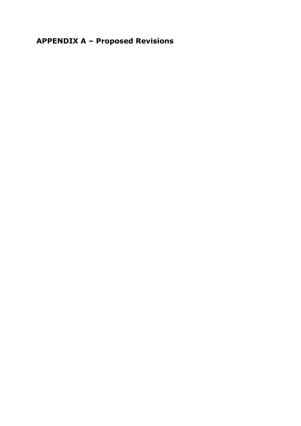**APPENDIX A – Proposed Revisions**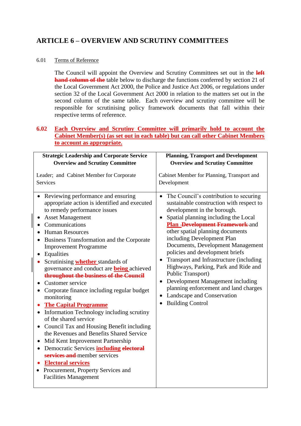# **ARTICLE 6 – OVERVIEW AND SCRUTINY COMMITTEES**

## 6.01 Terms of Reference

The Council will appoint the Overview and Scrutiny Committees set out in the **left hand column of the** table below to discharge the functions conferred by section 21 of the Local Government Act 2000, the Police and Justice Act 2006, or regulations under section 32 of the Local Government Act 2000 in relation to the matters set out in the second column of the same table. Each overview and scrutiny committee will be responsible for scrutinising policy framework documents that fall within their respective terms of reference.

## **6.02 Each Overview and Scrutiny Committee will primarily hold to account the Cabinet Member(s) (as set out in each table) but can call other Cabinet Members to account as appropriate.**

| <b>Strategic Leadership and Corporate Service</b>                                                                                                                                                                                                                                                                                                                                                                                                                                                                                                                                                                                                            | <b>Planning, Transport and Development</b>                                                                                                                                                                                                                                                                                                                                                                                                                                            |
|--------------------------------------------------------------------------------------------------------------------------------------------------------------------------------------------------------------------------------------------------------------------------------------------------------------------------------------------------------------------------------------------------------------------------------------------------------------------------------------------------------------------------------------------------------------------------------------------------------------------------------------------------------------|---------------------------------------------------------------------------------------------------------------------------------------------------------------------------------------------------------------------------------------------------------------------------------------------------------------------------------------------------------------------------------------------------------------------------------------------------------------------------------------|
| <b>Overview and Scrutiny Committee</b>                                                                                                                                                                                                                                                                                                                                                                                                                                                                                                                                                                                                                       | <b>Overview and Scrutiny Committee</b>                                                                                                                                                                                                                                                                                                                                                                                                                                                |
| Leader; and Cabinet Member for Corporate<br><b>Services</b><br>Reviewing performance and ensuring<br>appropriate action is identified and executed<br>to remedy performance issues<br><b>Asset Management</b><br>٠<br>Communications<br><b>Human Resources</b><br>$\bullet$<br>Business Transformation and the Corporate<br><b>Improvement Programme</b><br>Equalities<br>$\bullet$<br>Scrutinising <b>whether</b> standards of                                                                                                                                                                                                                              | Cabinet Member for Planning, Transport and<br>Development<br>The Council's contribution to securing<br>$\bullet$<br>sustainable construction with respect to<br>development in the borough.<br>Spatial planning including the Local<br>$\bullet$<br>Plan -Development Framework-and<br>other spatial planning documents<br>including Development Plan<br>Documents, Development Management<br>policies and development briefs<br>Transport and Infrastructure (including<br>$\bullet$ |
| governance and conduct are <b>being</b> achieved<br>throughout the business of the Council<br>Customer service<br>Corporate finance including regular budget<br>$\bullet$<br>monitoring<br><b>The Capital Programme</b><br>Information Technology including scrutiny<br>of the shared service<br>Council Tax and Housing Benefit including<br>$\bullet$<br>the Revenues and Benefits Shared Service<br>Mid Kent Improvement Partnership<br>$\bullet$<br>Democratic Services including electoral<br>$\bullet$<br>services and member services<br><b>Electoral services</b><br>Procurement, Property Services and<br>$\bullet$<br><b>Facilities Management</b> | Highways, Parking, Park and Ride and<br>Public Transport)<br>Development Management including<br>$\bullet$<br>planning enforcement and land charges<br>Landscape and Conservation<br>$\bullet$<br><b>Building Control</b><br>$\bullet$                                                                                                                                                                                                                                                |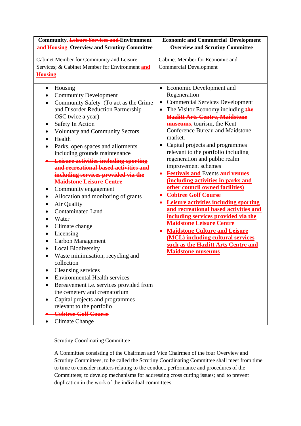## Scrutiny Coordinating Committee

 $\overline{\phantom{a}}$ 

A Committee consisting of the Chairmen and Vice Chairmen of the four Overview and Scrutiny Committees, to be called the Scrutiny Coordinating Committee shall meet from time to time to consider matters relating to the conduct, performance and procedures of the Committees; to develop mechanisms for addressing cross cutting issues; and to prevent duplication in the work of the individual committees.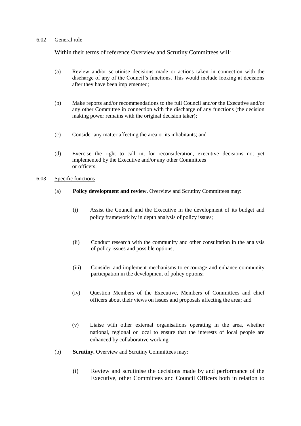#### 6.02 General role

Within their terms of reference Overview and Scrutiny Committees will:

- (a) Review and/or scrutinise decisions made or actions taken in connection with the discharge of any of the Council's functions. This would include looking at decisions after they have been implemented;
- (b) Make reports and/or recommendations to the full Council and/or the Executive and/or any other Committee in connection with the discharge of any functions (the decision making power remains with the original decision taker);
- (c) Consider any matter affecting the area or its inhabitants; and
- (d) Exercise the right to call in, for reconsideration, executive decisions not yet implemented by the Executive and/or any other Committees or officers.
- 6.03 Specific functions
	- (a) **Policy development and review.** Overview and Scrutiny Committees may:
		- (i) Assist the Council and the Executive in the development of its budget and policy framework by in depth analysis of policy issues;
		- (ii) Conduct research with the community and other consultation in the analysis of policy issues and possible options;
		- (iii) Consider and implement mechanisms to encourage and enhance community participation in the development of policy options;
		- (iv) Question Members of the Executive, Members of Committees and chief officers about their views on issues and proposals affecting the area; and
		- (v) Liaise with other external organisations operating in the area, whether national, regional or local to ensure that the interests of local people are enhanced by collaborative working.
	- (b) **Scrutiny.** Overview and Scrutiny Committees may:
		- (i) Review and scrutinise the decisions made by and performance of the Executive, other Committees and Council Officers both in relation to